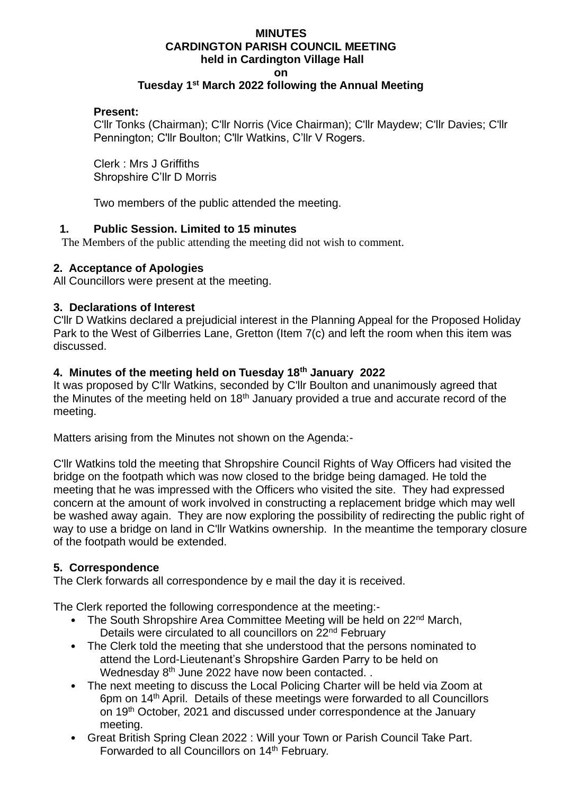#### **MINUTES CARDINGTON PARISH COUNCIL MEETING held in Cardington Village Hall on Tuesday 1st March 2022 following the Annual Meeting**

### **Present:**

C'llr Tonks (Chairman); C'llr Norris (Vice Chairman); C'llr Maydew; C'llr Davies; C'llr Pennington; C'llr Boulton; C'llr Watkins, C'llr V Rogers.

Clerk : Mrs J Griffiths Shropshire C'llr D Morris

Two members of the public attended the meeting.

### **1. Public Session. Limited to 15 minutes**

The Members of the public attending the meeting did not wish to comment.

## **2. Acceptance of Apologies**

All Councillors were present at the meeting.

### **3. Declarations of Interest**

C'llr D Watkins declared a prejudicial interest in the Planning Appeal for the Proposed Holiday Park to the West of Gilberries Lane, Gretton (Item 7(c) and left the room when this item was discussed.

## **4. Minutes of the meeting held on Tuesday 18th January 2022**

It was proposed by C'llr Watkins, seconded by C'llr Boulton and unanimously agreed that the Minutes of the meeting held on  $18<sup>th</sup>$  January provided a true and accurate record of the meeting.

Matters arising from the Minutes not shown on the Agenda:-

C'llr Watkins told the meeting that Shropshire Council Rights of Way Officers had visited the bridge on the footpath which was now closed to the bridge being damaged. He told the meeting that he was impressed with the Officers who visited the site. They had expressed concern at the amount of work involved in constructing a replacement bridge which may well be washed away again. They are now exploring the possibility of redirecting the public right of way to use a bridge on land in C'llr Watkins ownership. In the meantime the temporary closure of the footpath would be extended.

#### **5. Correspondence**

The Clerk forwards all correspondence by e mail the day it is received.

The Clerk reported the following correspondence at the meeting:-

- The South Shropshire Area Committee Meeting will be held on 22<sup>nd</sup> March, Details were circulated to all councillors on 22<sup>nd</sup> February
- The Clerk told the meeting that she understood that the persons nominated to attend the Lord-Lieutenant's Shropshire Garden Parry to be held on Wednesday  $8<sup>th</sup>$  June 2022 have now been contacted. .
- The next meeting to discuss the Local Policing Charter will be held via Zoom at 6pm on 14th April. Details of these meetings were forwarded to all Councillors on 19th October, 2021 and discussed under correspondence at the January meeting.
- Great British Spring Clean 2022 : Will your Town or Parish Council Take Part. Forwarded to all Councillors on 14<sup>th</sup> February.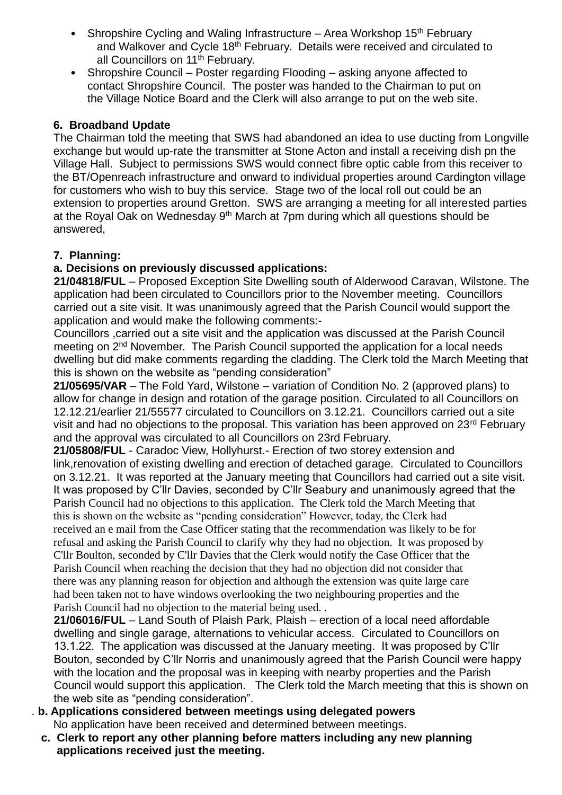- Shropshire Cycling and Waling Infrastructure Area Workshop  $15<sup>th</sup>$  February and Walkover and Cycle 18<sup>th</sup> February. Details were received and circulated to all Councillors on 11<sup>th</sup> February.
- Shropshire Council Poster regarding Flooding asking anyone affected to contact Shropshire Council. The poster was handed to the Chairman to put on the Village Notice Board and the Clerk will also arrange to put on the web site.

# **6. Broadband Update**

The Chairman told the meeting that SWS had abandoned an idea to use ducting from Longville exchange but would up-rate the transmitter at Stone Acton and install a receiving dish pn the Village Hall. Subject to permissions SWS would connect fibre optic cable from this receiver to the BT/Openreach infrastructure and onward to individual properties around Cardington village for customers who wish to buy this service. Stage two of the local roll out could be an extension to properties around Gretton. SWS are arranging a meeting for all interested parties at the Royal Oak on Wednesday  $9<sup>th</sup>$  March at 7pm during which all questions should be answered,

# **7. Planning:**

# **a. Decisions on previously discussed applications:**

 **21/04818/FUL** – Proposed Exception Site Dwelling south of Alderwood Caravan, Wilstone. The application had been circulated to Councillors prior to the November meeting. Councillors carried out a site visit. It was unanimously agreed that the Parish Council would support the application and would make the following comments:-

 Councillors ,carried out a site visit and the application was discussed at the Parish Council meeting on 2<sup>nd</sup> November. The Parish Council supported the application for a local needs dwelling but did make comments regarding the cladding. The Clerk told the March Meeting that this is shown on the website as "pending consideration"

**21/05695/VAR** – The Fold Yard, Wilstone – variation of Condition No. 2 (approved plans) to allow for change in design and rotation of the garage position. Circulated to all Councillors on 12.12.21/earlier 21/55577 circulated to Councillors on 3.12.21. Councillors carried out a site visit and had no objections to the proposal. This variation has been approved on 23<sup>rd</sup> February and the approval was circulated to all Councillors on 23rd February.

**21/05808/FUL** - Caradoc View, Hollyhurst.- Erection of two storey extension and link,renovation of existing dwelling and erection of detached garage. Circulated to Councillors on 3.12.21. It was reported at the January meeting that Councillors had carried out a site visit. It was proposed by C'llr Davies, seconded by C'llr Seabury and unanimously agreed that the Parish Council had no objections to this application. The Clerk told the March Meeting that this is shown on the website as "pending consideration" However, today, the Clerk had received an e mail from the Case Officer stating that the recommendation was likely to be for refusal and asking the Parish Council to clarify why they had no objection. It was proposed by C'llr Boulton, seconded by C'llr Davies that the Clerk would notify the Case Officer that the Parish Council when reaching the decision that they had no objection did not consider that there was any planning reason for objection and although the extension was quite large care had been taken not to have windows overlooking the two neighbouring properties and the Parish Council had no objection to the material being used. .

 **21/06016/FUL** – Land South of Plaish Park, Plaish – erection of a local need affordable dwelling and single garage, alternations to vehicular access. Circulated to Councillors on 13.1.22. The application was discussed at the January meeting. It was proposed by C'llr Bouton, seconded by C'llr Norris and unanimously agreed that the Parish Council were happy with the location and the proposal was in keeping with nearby properties and the Parish Council would support this application. The Clerk told the March meeting that this is shown on the web site as "pending consideration".

- . **b. Applications considered between meetings using delegated powers** No application have been received and determined between meetings.
	- **c. Clerk to report any other planning before matters including any new planning applications received just the meeting.**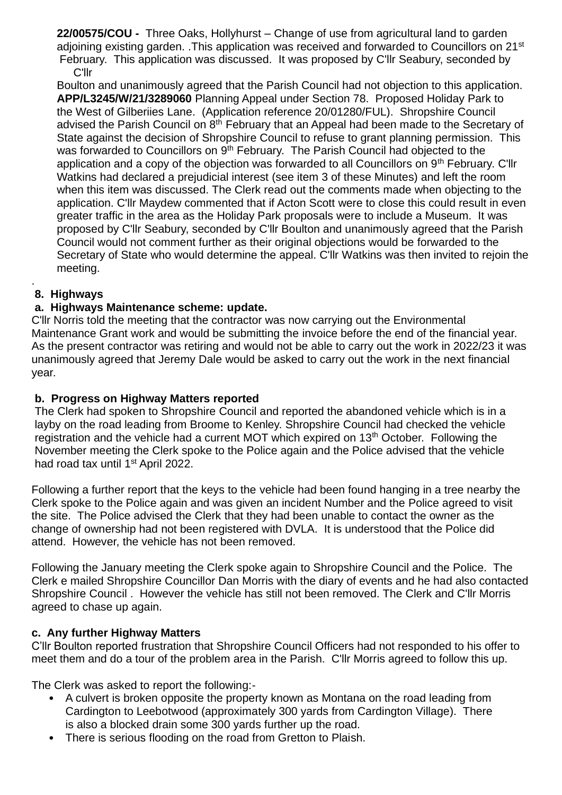**22/00575/COU -** Three Oaks, Hollyhurst – Change of use from agricultural land to garden adjoining existing garden. .This application was received and forwarded to Councillors on 21<sup>st</sup> February. This application was discussed. It was proposed by C'llr Seabury, seconded by C'llr

 Boulton and unanimously agreed that the Parish Council had not objection to this application. **APP/L3245/W/21/3289060** Planning Appeal under Section 78. Proposed Holiday Park to the West of Gilberiies Lane. (Application reference 20/01280/FUL). Shropshire Council advised the Parish Council on 8<sup>th</sup> February that an Appeal had been made to the Secretary of State against the decision of Shropshire Council to refuse to grant planning permission. This was forwarded to Councillors on 9<sup>th</sup> February. The Parish Council had objected to the application and a copy of the objection was forwarded to all Councillors on 9<sup>th</sup> February. C'llr Watkins had declared a prejudicial interest (see item 3 of these Minutes) and left the room when this item was discussed. The Clerk read out the comments made when objecting to the application. C'llr Maydew commented that if Acton Scott were to close this could result in even greater traffic in the area as the Holiday Park proposals were to include a Museum. It was proposed by C'llr Seabury, seconded by C'llr Boulton and unanimously agreed that the Parish Council would not comment further as their original objections would be forwarded to the Secretary of State who would determine the appeal. C'llr Watkins was then invited to rejoin the meeting.

#### . **8. Highways**

# **a. Highways Maintenance scheme: update.**

C'llr Norris told the meeting that the contractor was now carrying out the Environmental Maintenance Grant work and would be submitting the invoice before the end of the financial year. As the present contractor was retiring and would not be able to carry out the work in 2022/23 it was unanimously agreed that Jeremy Dale would be asked to carry out the work in the next financial year.

# **b. Progress on Highway Matters reported**

The Clerk had spoken to Shropshire Council and reported the abandoned vehicle which is in a layby on the road leading from Broome to Kenley. Shropshire Council had checked the vehicle registration and the vehicle had a current MOT which expired on 13<sup>th</sup> October. Following the November meeting the Clerk spoke to the Police again and the Police advised that the vehicle had road tax until 1<sup>st</sup> April 2022.

Following a further report that the keys to the vehicle had been found hanging in a tree nearby the Clerk spoke to the Police again and was given an incident Number and the Police agreed to visit the site. The Police advised the Clerk that they had been unable to contact the owner as the change of ownership had not been registered with DVLA. It is understood that the Police did attend. However, the vehicle has not been removed.

Following the January meeting the Clerk spoke again to Shropshire Council and the Police. The Clerk e mailed Shropshire Councillor Dan Morris with the diary of events and he had also contacted Shropshire Council . However the vehicle has still not been removed. The Clerk and C'llr Morris agreed to chase up again.

## **c. Any further Highway Matters**

C'llr Boulton reported frustration that Shropshire Council Officers had not responded to his offer to meet them and do a tour of the problem area in the Parish. C'llr Morris agreed to follow this up.

The Clerk was asked to report the following:-

- A culvert is broken opposite the property known as Montana on the road leading from Cardington to Leebotwood (approximately 300 yards from Cardington Village). There is also a blocked drain some 300 yards further up the road.
- There is serious flooding on the road from Gretton to Plaish.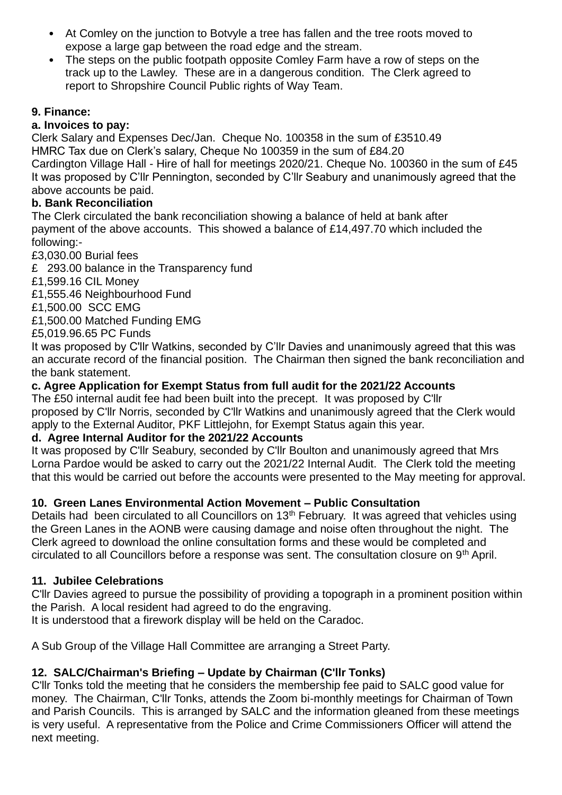- At Comley on the junction to Botvyle a tree has fallen and the tree roots moved to expose a large gap between the road edge and the stream.
- The steps on the public footpath opposite Comley Farm have a row of steps on the track up to the Lawley. These are in a dangerous condition. The Clerk agreed to report to Shropshire Council Public rights of Way Team.

# **9. Finance:**

# **a. Invoices to pay:**

Clerk Salary and Expenses Dec/Jan. Cheque No. 100358 in the sum of £3510.49 HMRC Tax due on Clerk's salary, Cheque No 100359 in the sum of £84.20 Cardington Village Hall - Hire of hall for meetings 2020/21. Cheque No. 100360 in the sum of £45 It was proposed by C'llr Pennington, seconded by C'llr Seabury and unanimously agreed that the above accounts be paid.

# **b. Bank Reconciliation**

The Clerk circulated the bank reconciliation showing a balance of held at bank after payment of the above accounts. This showed a balance of £14,497.70 which included the following:-

£3,030.00 Burial fees

£ 293.00 balance in the Transparency fund

£1,599.16 CIL Money

£1,555.46 Neighbourhood Fund

£1,500.00 SCC EMG

£1,500.00 Matched Funding EMG

£5,019.96.65 PC Funds

It was proposed by C'llr Watkins, seconded by C'llr Davies and unanimously agreed that this was an accurate record of the financial position. The Chairman then signed the bank reconciliation and the bank statement.

# **c. Agree Application for Exempt Status from full audit for the 2021/22 Accounts**

The £50 internal audit fee had been built into the precept. It was proposed by C'llr proposed by C'llr Norris, seconded by C'llr Watkins and unanimously agreed that the Clerk would apply to the External Auditor, PKF Littlejohn, for Exempt Status again this year.

# **d. Agree Internal Auditor for the 2021/22 Accounts**

It was proposed by C'llr Seabury, seconded by C'llr Boulton and unanimously agreed that Mrs Lorna Pardoe would be asked to carry out the 2021/22 Internal Audit. The Clerk told the meeting that this would be carried out before the accounts were presented to the May meeting for approval.

# **10. Green Lanes Environmental Action Movement – Public Consultation**

Details had been circulated to all Councillors on 13<sup>th</sup> February. It was agreed that vehicles using the Green Lanes in the AONB were causing damage and noise often throughout the night. The Clerk agreed to download the online consultation forms and these would be completed and circulated to all Councillors before a response was sent. The consultation closure on 9<sup>th</sup> April.

# **11. Jubilee Celebrations**

C'llr Davies agreed to pursue the possibility of providing a topograph in a prominent position within the Parish. A local resident had agreed to do the engraving.

It is understood that a firework display will be held on the Caradoc.

A Sub Group of the Village Hall Committee are arranging a Street Party.

# **12. SALC/Chairman's Briefing – Update by Chairman (C'llr Tonks)**

C'llr Tonks told the meeting that he considers the membership fee paid to SALC good value for money. The Chairman, C'llr Tonks, attends the Zoom bi-monthly meetings for Chairman of Town and Parish Councils. This is arranged by SALC and the information gleaned from these meetings is very useful. A representative from the Police and Crime Commissioners Officer will attend the next meeting.